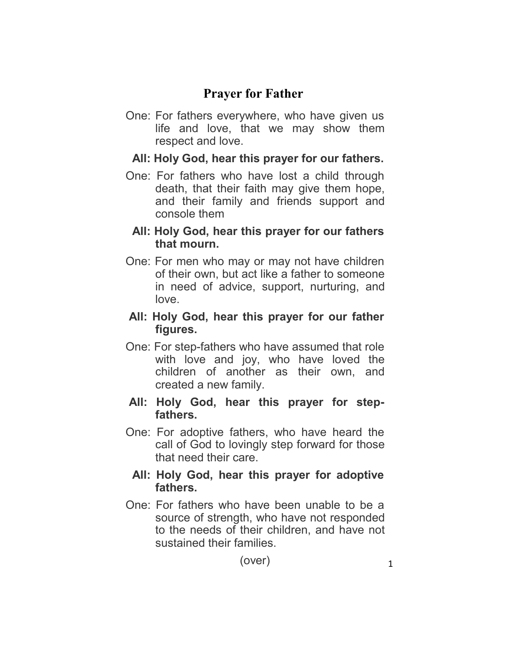# **Prayer for Father**

One: For fathers everywhere, who have given us life and love, that we may show them respect and love.

### **All: Holy God, hear this prayer for our fathers.**

One: For fathers who have lost a child through death, that their faith may give them hope, and their family and friends support and console them

#### **All: Holy God, hear this prayer for our fathers that mourn.**

One: For men who may or may not have children of their own, but act like a father to someone in need of advice, support, nurturing, and love.

### **All: Holy God, hear this prayer for our father figures.**

One: For step-fathers who have assumed that role with love and joy, who have loved the children of another as their own, and created a new family.

#### All: Holy God, hear this prayer for step**fathers.**

One: For adoptive fathers, who have heard the call of God to lovingly step forward for those that need their care.

### **All: Holy God, hear this prayer for adoptive fathers.**

One: For fathers who have been unable to be a source of strength, who have not responded to the needs of their children, and have not sustained their families.